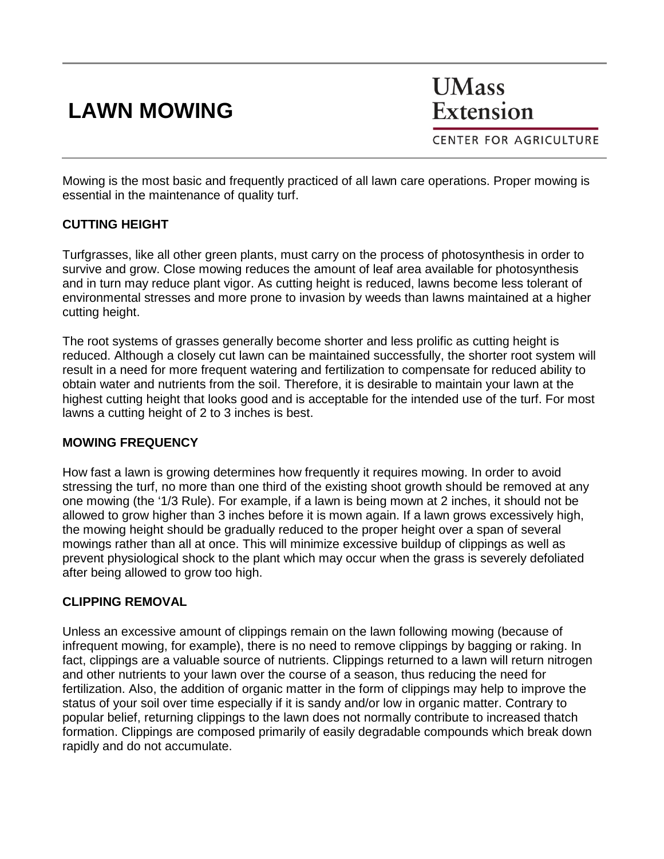# **LAWN MOWING**

**UMass** Extension

**CENTER FOR AGRICULTURE** 

Mowing is the most basic and frequently practiced of all lawn care operations. Proper mowing is essential in the maintenance of quality turf.

### **CUTTING HEIGHT**

Turfgrasses, like all other green plants, must carry on the process of photosynthesis in order to survive and grow. Close mowing reduces the amount of leaf area available for photosynthesis and in turn may reduce plant vigor. As cutting height is reduced, lawns become less tolerant of environmental stresses and more prone to invasion by weeds than lawns maintained at a higher cutting height.

The root systems of grasses generally become shorter and less prolific as cutting height is reduced. Although a closely cut lawn can be maintained successfully, the shorter root system will result in a need for more frequent watering and fertilization to compensate for reduced ability to obtain water and nutrients from the soil. Therefore, it is desirable to maintain your lawn at the highest cutting height that looks good and is acceptable for the intended use of the turf. For most lawns a cutting height of 2 to 3 inches is best.

#### **MOWING FREQUENCY**

How fast a lawn is growing determines how frequently it requires mowing. In order to avoid stressing the turf, no more than one third of the existing shoot growth should be removed at any one mowing (the '1/3 Rule). For example, if a lawn is being mown at 2 inches, it should not be allowed to grow higher than 3 inches before it is mown again. If a lawn grows excessively high, the mowing height should be gradually reduced to the proper height over a span of several mowings rather than all at once. This will minimize excessive buildup of clippings as well as prevent physiological shock to the plant which may occur when the grass is severely defoliated after being allowed to grow too high.

## **CLIPPING REMOVAL**

Unless an excessive amount of clippings remain on the lawn following mowing (because of infrequent mowing, for example), there is no need to remove clippings by bagging or raking. In fact, clippings are a valuable source of nutrients. Clippings returned to a lawn will return nitrogen and other nutrients to your lawn over the course of a season, thus reducing the need for fertilization. Also, the addition of organic matter in the form of clippings may help to improve the status of your soil over time especially if it is sandy and/or low in organic matter. Contrary to popular belief, returning clippings to the lawn does not normally contribute to increased thatch formation. Clippings are composed primarily of easily degradable compounds which break down rapidly and do not accumulate.